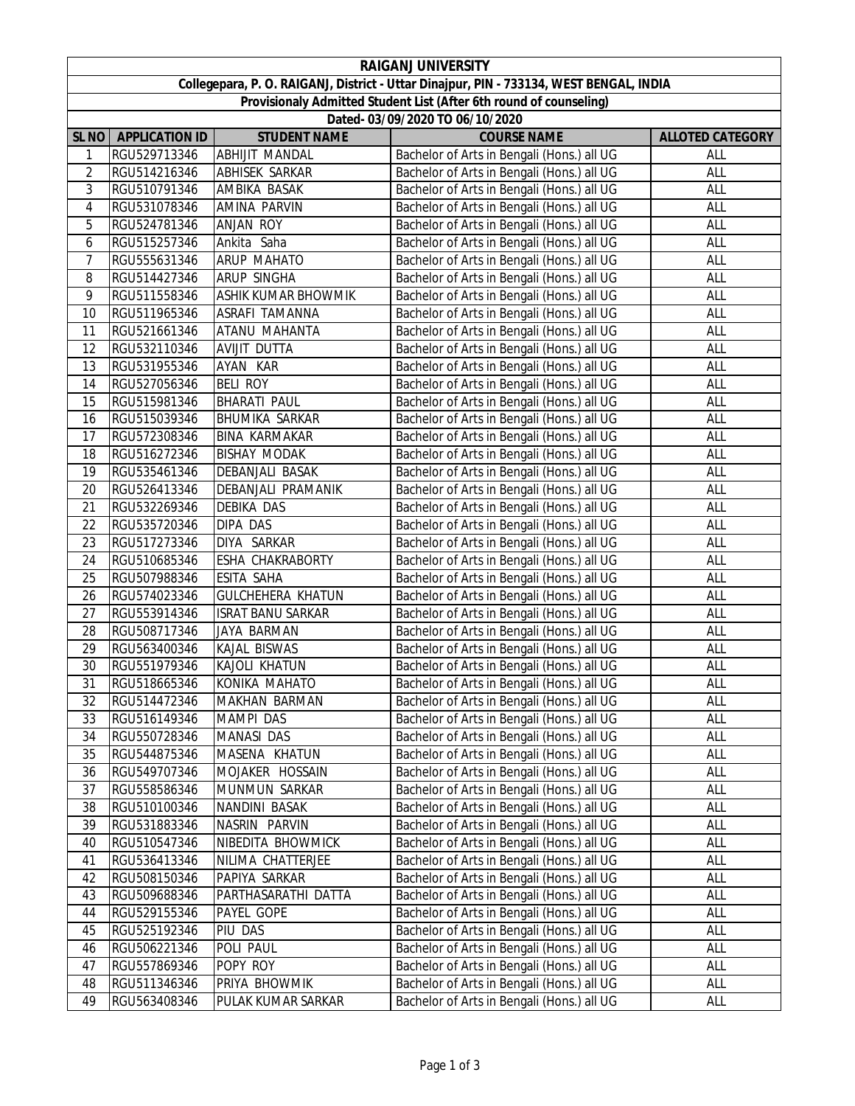|                                                                                         |                       |                          | <b>RAIGANJ UNIVERSITY</b>                  |                         |  |  |  |  |
|-----------------------------------------------------------------------------------------|-----------------------|--------------------------|--------------------------------------------|-------------------------|--|--|--|--|
| Collegepara, P. O. RAIGANJ, District - Uttar Dinajpur, PIN - 733134, WEST BENGAL, INDIA |                       |                          |                                            |                         |  |  |  |  |
| Provisionaly Admitted Student List (After 6th round of counseling)                      |                       |                          |                                            |                         |  |  |  |  |
| Dated- 03/09/2020 TO 06/10/2020                                                         |                       |                          |                                            |                         |  |  |  |  |
| SL <sub>NO</sub>                                                                        | <b>APPLICATION ID</b> | <b>STUDENT NAME</b>      | <b>COURSE NAME</b>                         | <b>ALLOTED CATEGORY</b> |  |  |  |  |
| 1                                                                                       | RGU529713346          | <b>ABHIJIT MANDAL</b>    | Bachelor of Arts in Bengali (Hons.) all UG | ALL                     |  |  |  |  |
| $\overline{2}$                                                                          | RGU514216346          | ABHISEK SARKAR           | Bachelor of Arts in Bengali (Hons.) all UG | ALL                     |  |  |  |  |
| 3                                                                                       | RGU510791346          | AMBIKA BASAK             | Bachelor of Arts in Bengali (Hons.) all UG | ALL                     |  |  |  |  |
| $\overline{4}$                                                                          | RGU531078346          | AMINA PARVIN             | Bachelor of Arts in Bengali (Hons.) all UG | ALL                     |  |  |  |  |
| 5                                                                                       | RGU524781346          | ANJAN ROY                | Bachelor of Arts in Bengali (Hons.) all UG | ALL                     |  |  |  |  |
| 6                                                                                       | RGU515257346          | Ankita Saha              | Bachelor of Arts in Bengali (Hons.) all UG | ALL                     |  |  |  |  |
| 7                                                                                       | RGU555631346          | <b>ARUP MAHATO</b>       | Bachelor of Arts in Bengali (Hons.) all UG | ALL                     |  |  |  |  |
| 8                                                                                       | RGU514427346          | <b>ARUP SINGHA</b>       | Bachelor of Arts in Bengali (Hons.) all UG | ALL                     |  |  |  |  |
| 9                                                                                       | RGU511558346          | ASHIK KUMAR BHOWMIK      | Bachelor of Arts in Bengali (Hons.) all UG | ALL                     |  |  |  |  |
| 10                                                                                      | RGU511965346          | ASRAFI TAMANNA           | Bachelor of Arts in Bengali (Hons.) all UG | ALL                     |  |  |  |  |
| 11                                                                                      | RGU521661346          | ATANU MAHANTA            | Bachelor of Arts in Bengali (Hons.) all UG | ALL                     |  |  |  |  |
| 12                                                                                      | RGU532110346          | AVIJIT DUTTA             | Bachelor of Arts in Bengali (Hons.) all UG | ALL                     |  |  |  |  |
| 13                                                                                      | RGU531955346          | AYAN KAR                 | Bachelor of Arts in Bengali (Hons.) all UG | ALL                     |  |  |  |  |
| 14                                                                                      | RGU527056346          | <b>BELI ROY</b>          | Bachelor of Arts in Bengali (Hons.) all UG | ALL                     |  |  |  |  |
| 15                                                                                      | RGU515981346          | <b>BHARATI PAUL</b>      | Bachelor of Arts in Bengali (Hons.) all UG | ALL                     |  |  |  |  |
| 16                                                                                      | RGU515039346          | <b>BHUMIKA SARKAR</b>    | Bachelor of Arts in Bengali (Hons.) all UG | ALL                     |  |  |  |  |
| 17                                                                                      | RGU572308346          | <b>BINA KARMAKAR</b>     | Bachelor of Arts in Bengali (Hons.) all UG | ALL                     |  |  |  |  |
| 18                                                                                      | RGU516272346          | <b>BISHAY MODAK</b>      | Bachelor of Arts in Bengali (Hons.) all UG | ALL                     |  |  |  |  |
| 19                                                                                      | RGU535461346          | DEBANJALI BASAK          | Bachelor of Arts in Bengali (Hons.) all UG | ALL                     |  |  |  |  |
| 20                                                                                      | RGU526413346          | DEBANJALI PRAMANIK       | Bachelor of Arts in Bengali (Hons.) all UG | ALL                     |  |  |  |  |
| 21                                                                                      | RGU532269346          | <b>DEBIKA DAS</b>        | Bachelor of Arts in Bengali (Hons.) all UG | ALL                     |  |  |  |  |
| 22                                                                                      | RGU535720346          | DIPA DAS                 | Bachelor of Arts in Bengali (Hons.) all UG | ALL                     |  |  |  |  |
| 23                                                                                      | RGU517273346          | DIYA SARKAR              | Bachelor of Arts in Bengali (Hons.) all UG | ALL                     |  |  |  |  |
| 24                                                                                      | RGU510685346          | ESHA CHAKRABORTY         | Bachelor of Arts in Bengali (Hons.) all UG | ALL                     |  |  |  |  |
| 25                                                                                      | RGU507988346          | <b>ESITA SAHA</b>        | Bachelor of Arts in Bengali (Hons.) all UG | ALL                     |  |  |  |  |
| 26                                                                                      | RGU574023346          | <b>GULCHEHERA KHATUN</b> | Bachelor of Arts in Bengali (Hons.) all UG | ALL                     |  |  |  |  |
| 27                                                                                      | RGU553914346          | <b>ISRAT BANU SARKAR</b> | Bachelor of Arts in Bengali (Hons.) all UG | ALL                     |  |  |  |  |
| 28                                                                                      | RGU508717346          | JAYA BARMAN              | Bachelor of Arts in Bengali (Hons.) all UG | ALL                     |  |  |  |  |
| 29                                                                                      | RGU563400346          | KAJAL BISWAS             | Bachelor of Arts in Bengali (Hons.) all UG | ALL                     |  |  |  |  |
| 30                                                                                      | RGU551979346          | KAJOLI KHATUN            | Bachelor of Arts in Bengali (Hons.) all UG | ALL                     |  |  |  |  |
| $\overline{31}$                                                                         | RGU518665346          | <b>KONIKA MAHATO</b>     | Bachelor of Arts in Bengali (Hons.) all UG | <b>ALL</b>              |  |  |  |  |
| 32                                                                                      | RGU514472346          | MAKHAN BARMAN            | Bachelor of Arts in Bengali (Hons.) all UG | ALL                     |  |  |  |  |
| 33                                                                                      | RGU516149346          | <b>MAMPI DAS</b>         | Bachelor of Arts in Bengali (Hons.) all UG | ALL                     |  |  |  |  |
| 34                                                                                      | RGU550728346          | <b>MANASI DAS</b>        | Bachelor of Arts in Bengali (Hons.) all UG | ALL                     |  |  |  |  |
| 35                                                                                      | RGU544875346          | MASENA KHATUN            | Bachelor of Arts in Bengali (Hons.) all UG | ALL                     |  |  |  |  |
| 36                                                                                      | RGU549707346          | MOJAKER HOSSAIN          | Bachelor of Arts in Bengali (Hons.) all UG | ALL                     |  |  |  |  |
| 37                                                                                      | RGU558586346          | MUNMUN SARKAR            | Bachelor of Arts in Bengali (Hons.) all UG | ALL                     |  |  |  |  |
| 38                                                                                      | RGU510100346          | NANDINI BASAK            | Bachelor of Arts in Bengali (Hons.) all UG | ALL                     |  |  |  |  |
| 39                                                                                      | RGU531883346          | NASRIN PARVIN            | Bachelor of Arts in Bengali (Hons.) all UG | ALL                     |  |  |  |  |
| 40                                                                                      | RGU510547346          | NIBEDITA BHOWMICK        | Bachelor of Arts in Bengali (Hons.) all UG | ALL                     |  |  |  |  |
| 41                                                                                      | RGU536413346          | NILIMA CHATTERJEE        | Bachelor of Arts in Bengali (Hons.) all UG | ALL                     |  |  |  |  |
| 42                                                                                      | RGU508150346          | PAPIYA SARKAR            | Bachelor of Arts in Bengali (Hons.) all UG | ALL                     |  |  |  |  |
| 43                                                                                      | RGU509688346          | PARTHASARATHI DATTA      | Bachelor of Arts in Bengali (Hons.) all UG | ALL                     |  |  |  |  |
| 44                                                                                      | RGU529155346          | PAYEL GOPE               | Bachelor of Arts in Bengali (Hons.) all UG | ALL                     |  |  |  |  |
| 45                                                                                      | RGU525192346          | PIU DAS                  | Bachelor of Arts in Bengali (Hons.) all UG | ALL                     |  |  |  |  |
| 46                                                                                      | RGU506221346          | POLI PAUL                | Bachelor of Arts in Bengali (Hons.) all UG | ALL                     |  |  |  |  |
| 47                                                                                      | RGU557869346          | POPY ROY                 | Bachelor of Arts in Bengali (Hons.) all UG | ALL                     |  |  |  |  |
| 48                                                                                      | RGU511346346          | PRIYA BHOWMIK            | Bachelor of Arts in Bengali (Hons.) all UG | ALL                     |  |  |  |  |
| 49                                                                                      | RGU563408346          | PULAK KUMAR SARKAR       | Bachelor of Arts in Bengali (Hons.) all UG | ALL                     |  |  |  |  |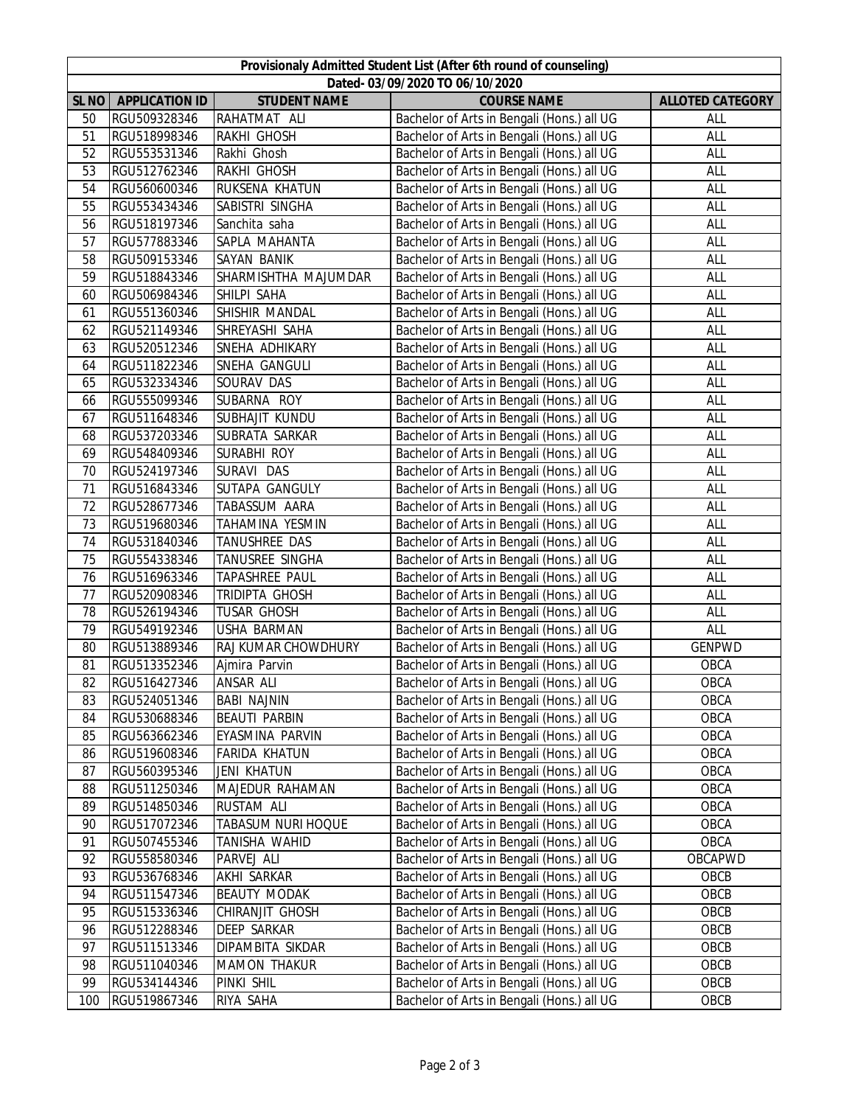| Provisionaly Admitted Student List (After 6th round of counseling) |                              |                                         |                                                                                          |                         |  |  |  |
|--------------------------------------------------------------------|------------------------------|-----------------------------------------|------------------------------------------------------------------------------------------|-------------------------|--|--|--|
| Dated- 03/09/2020 TO 06/10/2020                                    |                              |                                         |                                                                                          |                         |  |  |  |
| SL <sub>NO</sub>                                                   | <b>APPLICATION ID</b>        | <b>STUDENT NAME</b>                     | <b>COURSE NAME</b>                                                                       | <b>ALLOTED CATEGORY</b> |  |  |  |
| 50                                                                 | RGU509328346                 | RAHATMAT ALI                            | Bachelor of Arts in Bengali (Hons.) all UG                                               | ALL                     |  |  |  |
| 51                                                                 | RGU518998346                 | RAKHI GHOSH                             | Bachelor of Arts in Bengali (Hons.) all UG                                               | ALL                     |  |  |  |
| 52                                                                 | RGU553531346                 | Rakhi Ghosh                             | Bachelor of Arts in Bengali (Hons.) all UG                                               | ALL                     |  |  |  |
| 53                                                                 | RGU512762346                 | RAKHI GHOSH                             | Bachelor of Arts in Bengali (Hons.) all UG                                               | ALL                     |  |  |  |
| 54                                                                 | RGU560600346                 | RUKSENA KHATUN                          | Bachelor of Arts in Bengali (Hons.) all UG                                               | ALL                     |  |  |  |
| 55                                                                 | RGU553434346                 | SABISTRI SINGHA                         | Bachelor of Arts in Bengali (Hons.) all UG                                               | ALL                     |  |  |  |
| 56                                                                 | RGU518197346                 | Sanchita saha                           | Bachelor of Arts in Bengali (Hons.) all UG                                               | ALL                     |  |  |  |
| 57                                                                 | RGU577883346                 | SAPLA MAHANTA                           | Bachelor of Arts in Bengali (Hons.) all UG                                               | ALL                     |  |  |  |
| 58                                                                 | RGU509153346                 | <b>SAYAN BANIK</b>                      | Bachelor of Arts in Bengali (Hons.) all UG                                               | ALL                     |  |  |  |
| 59                                                                 | RGU518843346                 | SHARMISHTHA MAJUMDAR                    | Bachelor of Arts in Bengali (Hons.) all UG                                               | ALL                     |  |  |  |
| 60                                                                 | RGU506984346                 | SHILPI SAHA                             | Bachelor of Arts in Bengali (Hons.) all UG                                               | ALL                     |  |  |  |
| 61                                                                 | RGU551360346                 | SHISHIR MANDAL                          | Bachelor of Arts in Bengali (Hons.) all UG                                               | ALL                     |  |  |  |
| 62                                                                 | RGU521149346                 | SHREYASHI SAHA                          | Bachelor of Arts in Bengali (Hons.) all UG                                               | ALL                     |  |  |  |
| 63                                                                 | RGU520512346                 | SNEHA ADHIKARY                          | Bachelor of Arts in Bengali (Hons.) all UG                                               | ALL                     |  |  |  |
| 64                                                                 | RGU511822346                 | SNEHA GANGULI                           | Bachelor of Arts in Bengali (Hons.) all UG                                               | ALL                     |  |  |  |
| 65                                                                 | RGU532334346                 | SOURAV DAS                              | Bachelor of Arts in Bengali (Hons.) all UG                                               | ALL                     |  |  |  |
| 66                                                                 | RGU555099346                 | SUBARNA ROY                             | Bachelor of Arts in Bengali (Hons.) all UG                                               | ALL                     |  |  |  |
| 67                                                                 | RGU511648346                 | SUBHAJIT KUNDU                          | Bachelor of Arts in Bengali (Hons.) all UG                                               | ALL                     |  |  |  |
| 68                                                                 | RGU537203346                 | SUBRATA SARKAR                          | Bachelor of Arts in Bengali (Hons.) all UG                                               | ALL                     |  |  |  |
| 69                                                                 | RGU548409346                 | SURABHI ROY                             | Bachelor of Arts in Bengali (Hons.) all UG                                               | ALL                     |  |  |  |
| 70                                                                 | RGU524197346                 | SURAVI DAS                              | Bachelor of Arts in Bengali (Hons.) all UG                                               | ALL                     |  |  |  |
| 71                                                                 | RGU516843346                 | SUTAPA GANGULY                          | Bachelor of Arts in Bengali (Hons.) all UG                                               | ALL                     |  |  |  |
| 72                                                                 | RGU528677346                 | TABASSUM AARA                           | Bachelor of Arts in Bengali (Hons.) all UG                                               | ALL                     |  |  |  |
| 73                                                                 | RGU519680346                 | TAHAMINA YESMIN                         | Bachelor of Arts in Bengali (Hons.) all UG                                               | ALL                     |  |  |  |
| 74                                                                 | RGU531840346                 | TANUSHREE DAS                           | Bachelor of Arts in Bengali (Hons.) all UG                                               | ALL                     |  |  |  |
| 75                                                                 | RGU554338346                 | TANUSREE SINGHA                         | Bachelor of Arts in Bengali (Hons.) all UG                                               | ALL                     |  |  |  |
| 76                                                                 | RGU516963346<br>RGU520908346 | TAPASHREE PAUL<br><b>TRIDIPTA GHOSH</b> | Bachelor of Arts in Bengali (Hons.) all UG                                               | ALL                     |  |  |  |
| 77<br>78                                                           | RGU526194346                 | <b>TUSAR GHOSH</b>                      | Bachelor of Arts in Bengali (Hons.) all UG<br>Bachelor of Arts in Bengali (Hons.) all UG | ALL<br>ALL              |  |  |  |
| 79                                                                 | RGU549192346                 | USHA BARMAN                             | Bachelor of Arts in Bengali (Hons.) all UG                                               | ALL                     |  |  |  |
| 80                                                                 | RGU513889346                 | RAJ KUMAR CHOWDHURY                     | Bachelor of Arts in Bengali (Hons.) all UG                                               | <b>GENPWD</b>           |  |  |  |
| 81                                                                 | RGU513352346                 | Ajmira Parvin                           | Bachelor of Arts in Bengali (Hons.) all UG                                               | OBCA                    |  |  |  |
| 82                                                                 | RGU516427346                 | <b>ANSAR ALI</b>                        | Bachelor of Arts in Bengali (Hons.) all UG                                               | OBCA                    |  |  |  |
| 83                                                                 | RGU524051346                 | <b>BABI NAJNIN</b>                      | Bachelor of Arts in Bengali (Hons.) all UG                                               | OBCA                    |  |  |  |
| 84                                                                 | RGU530688346                 | <b>BEAUTI PARBIN</b>                    | Bachelor of Arts in Bengali (Hons.) all UG                                               | OBCA                    |  |  |  |
| 85                                                                 | RGU563662346                 | EYASMINA PARVIN                         | Bachelor of Arts in Bengali (Hons.) all UG                                               | OBCA                    |  |  |  |
| 86                                                                 | RGU519608346                 | FARIDA KHATUN                           | Bachelor of Arts in Bengali (Hons.) all UG                                               | OBCA                    |  |  |  |
| 87                                                                 | RGU560395346                 | <b>JENI KHATUN</b>                      | Bachelor of Arts in Bengali (Hons.) all UG                                               | OBCA                    |  |  |  |
| 88                                                                 | RGU511250346                 | MAJEDUR RAHAMAN                         | Bachelor of Arts in Bengali (Hons.) all UG                                               | OBCA                    |  |  |  |
| 89                                                                 | RGU514850346                 | <b>RUSTAM ALI</b>                       | Bachelor of Arts in Bengali (Hons.) all UG                                               | OBCA                    |  |  |  |
| 90                                                                 | RGU517072346                 | TABASUM NURI HOQUE                      | Bachelor of Arts in Bengali (Hons.) all UG                                               | OBCA                    |  |  |  |
| 91                                                                 | RGU507455346                 | TANISHA WAHID                           | Bachelor of Arts in Bengali (Hons.) all UG                                               | OBCA                    |  |  |  |
| 92                                                                 | RGU558580346                 | PARVEJ ALI                              | Bachelor of Arts in Bengali (Hons.) all UG                                               | OBCAPWD                 |  |  |  |
| 93                                                                 | RGU536768346                 | AKHI SARKAR                             | Bachelor of Arts in Bengali (Hons.) all UG                                               | OBCB                    |  |  |  |
| 94                                                                 | RGU511547346                 | <b>BEAUTY MODAK</b>                     | Bachelor of Arts in Bengali (Hons.) all UG                                               | OBCB                    |  |  |  |
| 95                                                                 | RGU515336346                 | CHIRANJIT GHOSH                         | Bachelor of Arts in Bengali (Hons.) all UG                                               | OBCB                    |  |  |  |
| 96                                                                 | RGU512288346                 | <b>DEEP SARKAR</b>                      | Bachelor of Arts in Bengali (Hons.) all UG                                               | OBCB                    |  |  |  |
| 97                                                                 | RGU511513346                 | DIPAMBITA SIKDAR                        | Bachelor of Arts in Bengali (Hons.) all UG                                               | OBCB                    |  |  |  |
| 98                                                                 | RGU511040346                 | <b>MAMON THAKUR</b>                     | Bachelor of Arts in Bengali (Hons.) all UG                                               | OBCB                    |  |  |  |
| 99                                                                 | RGU534144346                 | PINKI SHIL                              | Bachelor of Arts in Bengali (Hons.) all UG                                               | OBCB                    |  |  |  |
| 100                                                                | RGU519867346                 | RIYA SAHA                               | Bachelor of Arts in Bengali (Hons.) all UG                                               | OBCB                    |  |  |  |